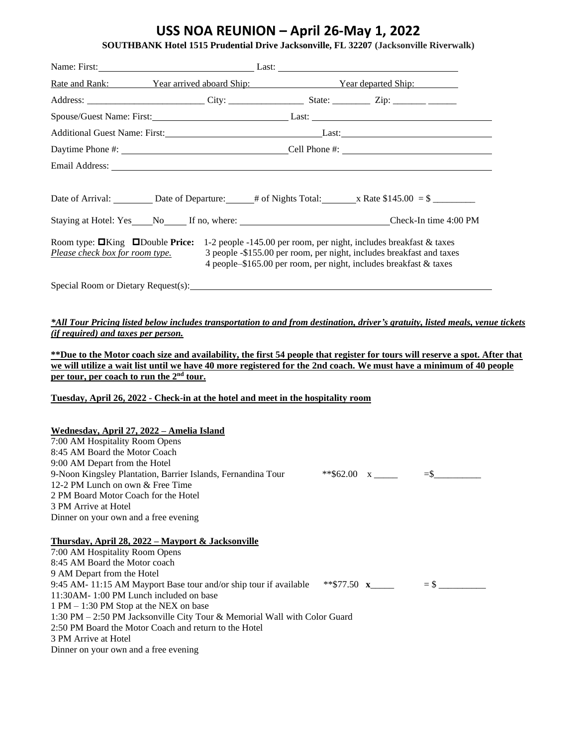## **USS NOA REUNION – April 26-May 1, 2022**

| <b>SOUTHBANK Hotel 1515 Prudential Drive Jacksonville, FL 32207 (Jacksonville Riverwalk)</b> |  |
|----------------------------------------------------------------------------------------------|--|
|----------------------------------------------------------------------------------------------|--|

|                                                                                                                                                                                                                                                                                                                                                                                                                                                        | Name: First: Last: Last: Last: Last: Last: Last: Last: Last: Last: Last: Last: Last: Last: Last: Last: Last: Last: Last: Last: Last: Last: Last: Last: Last: Last: Last: Last: Last: Last: Last: Last: Last: Last: Last: Last: |  |                                                       |  |
|--------------------------------------------------------------------------------------------------------------------------------------------------------------------------------------------------------------------------------------------------------------------------------------------------------------------------------------------------------------------------------------------------------------------------------------------------------|--------------------------------------------------------------------------------------------------------------------------------------------------------------------------------------------------------------------------------|--|-------------------------------------------------------|--|
|                                                                                                                                                                                                                                                                                                                                                                                                                                                        | Rate and Rank: Year arrived aboard Ship: Year departed Ship: Year departed Ship:                                                                                                                                               |  |                                                       |  |
|                                                                                                                                                                                                                                                                                                                                                                                                                                                        |                                                                                                                                                                                                                                |  |                                                       |  |
|                                                                                                                                                                                                                                                                                                                                                                                                                                                        |                                                                                                                                                                                                                                |  |                                                       |  |
|                                                                                                                                                                                                                                                                                                                                                                                                                                                        |                                                                                                                                                                                                                                |  | Additional Guest Name: First: Last: Last: Last: Last: |  |
|                                                                                                                                                                                                                                                                                                                                                                                                                                                        |                                                                                                                                                                                                                                |  |                                                       |  |
|                                                                                                                                                                                                                                                                                                                                                                                                                                                        |                                                                                                                                                                                                                                |  |                                                       |  |
| Date of Arrival: Date of Departure: $\qquad$ # of Nights Total: x Rate \$145.00 = \$<br>Staying at Hotel: Yes No If no, where: Check-In time 4:00 PM<br>Room type: $\Box$ King $\Box$ Double Price: 1-2 people -145.00 per room, per night, includes breakfast & taxes<br>3 people -\$155.00 per room, per night, includes breakfast and taxes<br>Please check box for room type.<br>4 people-\$165.00 per room, per night, includes breakfast & taxes |                                                                                                                                                                                                                                |  |                                                       |  |
|                                                                                                                                                                                                                                                                                                                                                                                                                                                        | Special Room or Dietary Request(s): Special Room or Dietary Request(s):                                                                                                                                                        |  |                                                       |  |

*\*All Tour Pricing listed below includes transportation to and from destination, driver's gratuity, listed meals, venue tickets (if required) and taxes per person.*

**\*\*Due to the Motor coach size and availability, the first 54 people that register for tours will reserve a spot. After that we will utilize a wait list until we have 40 more registered for the 2nd coach. We must have a minimum of 40 people per tour, per coach to run the 2nd tour.**

**Tuesday, April 26, 2022 - Check-in at the hotel and meet in the hospitality room**

| <u> Wednesday, April 27, 2022 – Amelia Island</u><br>7:00 AM Hospitality Room Opens<br>8:45 AM Board the Motor Coach<br>9:00 AM Depart from the Hotel<br>9-Noon Kingsley Plantation, Barrier Islands, Fernandina Tour<br>12-2 PM Lunch on own & Free Time<br>2 PM Board Motor Coach for the Hotel |               |        |
|---------------------------------------------------------------------------------------------------------------------------------------------------------------------------------------------------------------------------------------------------------------------------------------------------|---------------|--------|
| 3 PM Arrive at Hotel                                                                                                                                                                                                                                                                              |               |        |
| Dinner on your own and a free evening                                                                                                                                                                                                                                                             |               |        |
| Thursday, April 28, 2022 – Mayport & Jacksonville<br>7:00 AM Hospitality Room Opens<br>8:45 AM Board the Motor coach                                                                                                                                                                              |               |        |
| 9 AM Depart from the Hotel<br>9:45 AM-11:15 AM Mayport Base tour and/or ship tour if available<br>11:30 AM - 1:00 PM Lunch included on base<br>$1 PM - 1:30 PM Stop at the NEXT on base$                                                                                                          | **\$77.50 $x$ | $=$ \$ |
| 1:30 PM – 2:50 PM Jacksonville City Tour & Memorial Wall with Color Guard<br>2:50 PM Board the Motor Coach and return to the Hotel<br>3 PM Arrive at Hotel<br>Dinner on your own and a free evening                                                                                               |               |        |
|                                                                                                                                                                                                                                                                                                   |               |        |